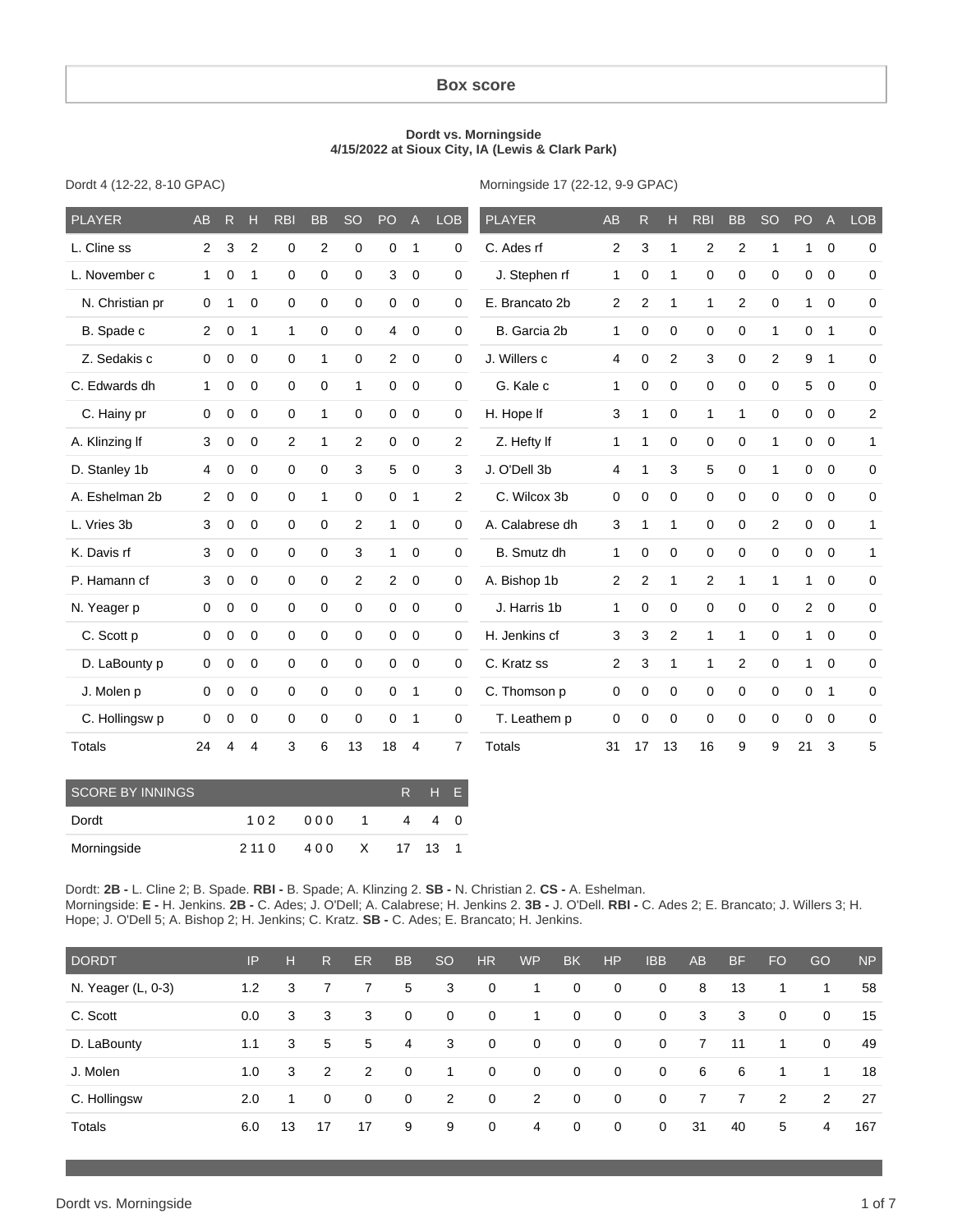#### **Box score**

#### **Dordt vs. Morningside 4/15/2022 at Sioux City, IA (Lewis & Clark Park)**

Dordt 4 (12-22, 8-10 GPAC)

Morningside 17 (22-12, 9-9 GPAC)

| <b>PLAYER</b>   | <b>AB</b>      | $\mathsf{R}$ | н              | <b>RBI</b>   | <b>BB</b>      | <b>SO</b>      | PO             | $\overline{A}$ | <b>LOB</b>     | <b>PLAYER</b>   | <b>AB</b>      | R.             | Н              | <b>RBI</b>  | <b>BB</b>      | <sub>SO</sub> | PO <sub>1</sub> | $\mathsf{A}$   | <b>LOB</b>     |
|-----------------|----------------|--------------|----------------|--------------|----------------|----------------|----------------|----------------|----------------|-----------------|----------------|----------------|----------------|-------------|----------------|---------------|-----------------|----------------|----------------|
| L. Cline ss     | 2              | 3            | $\overline{2}$ | $\mathbf 0$  | $\overline{2}$ | $\mathbf 0$    | 0              | $\mathbf{1}$   | 0              | C. Ades rf      | 2              | 3              | 1              | 2           | $\overline{2}$ | 1             | 1               | $\overline{0}$ | 0              |
| L. November c   | $\mathbf{1}$   | 0            | 1              | 0            | 0              | 0              | 3              | $\mathbf 0$    | 0              | J. Stephen rf   | 1              | $\mathbf 0$    | 1              | $\mathbf 0$ | $\mathbf 0$    | 0             | $\mathbf 0$     | $\mathbf 0$    | 0              |
| N. Christian pr | $\mathbf 0$    | 1            | 0              | $\mathbf 0$  | 0              | $\Omega$       | 0              | $\mathbf 0$    | 0              | E. Brancato 2b  | $\mathbf{2}$   | $\overline{2}$ | 1              | 1           | 2              | $\Omega$      | 1               | $\mathbf 0$    | 0              |
| B. Spade c      | 2              | 0            | 1              | $\mathbf{1}$ | 0              | 0              | 4              | $\mathbf 0$    | 0              | B. Garcia 2b    | 1              | $\mathbf 0$    | $\mathbf 0$    | $\mathbf 0$ | $\mathbf 0$    | 1             | 0               | $\overline{1}$ | 0              |
| Z. Sedakis c    | $\mathbf 0$    | 0            | $\mathbf 0$    | 0            | $\mathbf{1}$   | 0              | 2              | $\mathbf 0$    | 0              | J. Willers c    | 4              | $\mathbf 0$    | $\overline{2}$ | 3           | 0              | 2             | 9               | $\mathbf{1}$   | 0              |
| C. Edwards dh   | $\mathbf{1}$   | 0            | $\mathbf 0$    | $\mathbf 0$  | 0              | 1              | $\mathbf 0$    | $\mathbf 0$    | 0              | G. Kale c       | 1              | 0              | $\mathbf 0$    | 0           | $\mathbf 0$    | $\Omega$      | 5               | $\overline{0}$ | 0              |
| C. Hainy pr     | $\mathbf 0$    | 0            | 0              | $\mathbf 0$  | $\mathbf{1}$   | $\mathbf 0$    | 0              | 0              | 0              | H. Hope If      | 3              | 1              | 0              | 1           | $\mathbf{1}$   | $\mathbf 0$   | 0               | $\overline{0}$ | $\overline{2}$ |
| A. Klinzing If  | 3              | 0            | 0              | 2            | $\mathbf{1}$   | 2              | 0              | 0              | $\overline{c}$ | Z. Hefty If     | 1              | 1              | 0              | 0           | 0              | $\mathbf 1$   | 0               | $\overline{0}$ | $\mathbf{1}$   |
| D. Stanley 1b   | $\overline{4}$ | 0            | 0              | 0            | 0              | 3              | 5              | 0              | 3              | J. O'Dell 3b    | 4              | 1              | 3              | 5           | $\mathbf 0$    | 1             | 0               | $\mathbf 0$    | $\mathbf 0$    |
| A. Eshelman 2b  | 2              | $\mathbf 0$  | 0              | $\mathbf 0$  | 1              | 0              | 0              | 1              | $\overline{2}$ | C. Wilcox 3b    | 0              | $\mathbf 0$    | $\mathbf 0$    | $\mathbf 0$ | $\mathbf 0$    | $\Omega$      | $\mathbf 0$     | $\mathbf 0$    | 0              |
| L. Vries 3b     | 3              | 0            | 0              | $\mathbf 0$  | 0              | $\overline{2}$ | 1              | 0              | 0              | A. Calabrese dh | 3              | 1              | 1              | $\mathbf 0$ | $\mathbf 0$    | 2             | $\mathbf 0$     | $\overline{0}$ | 1              |
| K. Davis rf     | 3              | $\mathbf 0$  | $\mathbf 0$    | $\mathbf 0$  | 0              | 3              | 1              | $\mathbf 0$    | $\mathbf 0$    | B. Smutz dh     | 1              | 0              | $\mathbf 0$    | $\mathbf 0$ | $\mathbf 0$    | $\mathbf 0$   | $\mathbf 0$     | $\mathbf 0$    | $\mathbf{1}$   |
| P. Hamann cf    | 3              | 0            | $\Omega$       | $\mathbf 0$  | 0              | 2              | $\overline{2}$ | $\mathbf 0$    | 0              | A. Bishop 1b    | 2              | $\overline{2}$ | 1              | 2           | 1              | 1             | 1               | $\Omega$       | $\mathbf 0$    |
| N. Yeager p     | $\mathbf 0$    | 0            | 0              | $\mathbf 0$  | 0              | 0              | $\mathbf 0$    | $\mathbf 0$    | $\mathbf 0$    | J. Harris 1b    | 1              | $\mathbf 0$    | $\mathbf 0$    | $\mathbf 0$ | $\mathbf 0$    | $\mathbf 0$   | $\overline{2}$  | $\overline{0}$ | $\mathbf 0$    |
| C. Scott p      | $\mathbf 0$    | 0            | $\mathbf 0$    | $\mathbf 0$  | 0              | $\mathbf 0$    | 0              | $\mathbf 0$    | 0              | H. Jenkins cf   | 3              | 3              | $\overline{2}$ | 1           | $\mathbf{1}$   | $\Omega$      | $\mathbf{1}$    | $\mathbf 0$    | 0              |
| D. LaBounty p   | $\mathbf 0$    | 0            | $\mathbf 0$    | 0            | 0              | $\mathbf 0$    | 0              | $\mathbf 0$    | $\mathbf 0$    | C. Kratz ss     | $\overline{2}$ | 3              | 1              | 1           | 2              | $\mathbf 0$   | 1               | $\Omega$       | 0              |
| J. Molen p      | $\mathbf 0$    | 0            | $\mathbf 0$    | 0            | 0              | $\mathbf 0$    | 0              | $\mathbf{1}$   | 0              | C. Thomson p    | 0              | 0              | $\mathbf 0$    | 0           | 0              | $\mathbf 0$   | 0               | $\overline{1}$ | 0              |
| C. Hollingsw p  | $\Omega$       | 0            | $\mathbf 0$    | $\mathbf 0$  | 0              | $\mathbf 0$    | $\mathbf 0$    | $\mathbf{1}$   | 0              | T. Leathem p    | 0              | $\mathbf 0$    | $\Omega$       | $\mathbf 0$ | $\mathbf 0$    | $\Omega$      | 0               | $\Omega$       | 0              |
| Totals          | 24             | 4            | 4              | 3            | 6              | 13             | 18             | 4              | $\overline{7}$ | <b>Totals</b>   | 31             | 17             | 13             | 16          | 9              | 9             | 21              | 3              | 5              |

| SCORE BY INNINGS |         | R H E         |                |   |   |  |
|------------------|---------|---------------|----------------|---|---|--|
| Dordt            | 102     | 000           | $\overline{1}$ | 4 | 4 |  |
| Morningside      | 2 1 1 0 | 400 X 17 13 1 |                |   |   |  |

Dordt: **2B -** L. Cline 2; B. Spade. **RBI -** B. Spade; A. Klinzing 2. **SB -** N. Christian 2. **CS -** A. Eshelman. Morningside: **E -** H. Jenkins. **2B -** C. Ades; J. O'Dell; A. Calabrese; H. Jenkins 2. **3B -** J. O'Dell. **RBI -** C. Ades 2; E. Brancato; J. Willers 3; H. Hope; J. O'Dell 5; A. Bishop 2; H. Jenkins; C. Kratz. **SB -** C. Ades; E. Brancato; H. Jenkins.

| <b>DORDT</b>       | IP  | н  | R.             | ER.         | <b>BB</b> | <sub>SO</sub> | <b>HR</b>   | <b>WP</b>   | <b>BK</b>    | H <sub>P</sub> | <b>IBB</b>   | <b>AB</b> | <b>BF</b>      | <b>FO</b>   | GO           | <b>NP</b> |
|--------------------|-----|----|----------------|-------------|-----------|---------------|-------------|-------------|--------------|----------------|--------------|-----------|----------------|-------------|--------------|-----------|
| N. Yeager (L, 0-3) | 1.2 | 3  | $\overline{7}$ | 7           | 5         | 3             | $\mathbf 0$ | 1           | $\mathbf{0}$ | $\mathbf{0}$   | $\mathbf{0}$ | 8         | 13             | 1           | 1            | 58        |
| C. Scott           | 0.0 | 3  | 3              | 3           | 0         | $\mathbf 0$   | $\mathbf 0$ | 1           | $\mathbf 0$  | $\mathbf{0}$   | $\mathbf{0}$ | 3         | 3              | $\mathbf 0$ | $\mathbf{0}$ | 15        |
| D. LaBounty        | 1.1 | 3  | 5              | 5           | 4         | 3             | $\mathbf 0$ | $\mathbf 0$ | $\mathbf 0$  | $\mathbf{0}$   | $\mathbf 0$  | 7         | 11             | 1           | $\Omega$     | 49        |
| J. Molen           | 1.0 | 3  | 2              | 2           | 0         | 1             | $\mathbf 0$ | $\mathbf 0$ | $\mathbf 0$  | $\mathbf{0}$   | $\mathbf 0$  | 6         | 6              | 1           | 1            | 18        |
| C. Hollingsw       | 2.0 | 1  | $\mathbf{0}$   | $\mathbf 0$ | 0         | 2             | $\mathbf 0$ | 2           | $\mathbf{0}$ | $\mathbf{0}$   | $\mathbf 0$  | 7         | $\overline{7}$ | 2           | 2            | 27        |
| Totals             | 6.0 | 13 | 17             | 17          | 9         | 9             | $\mathbf 0$ | 4           | $\mathbf{0}$ | $\mathbf{0}$   | 0            | 31        | 40             | 5           | 4            | 167       |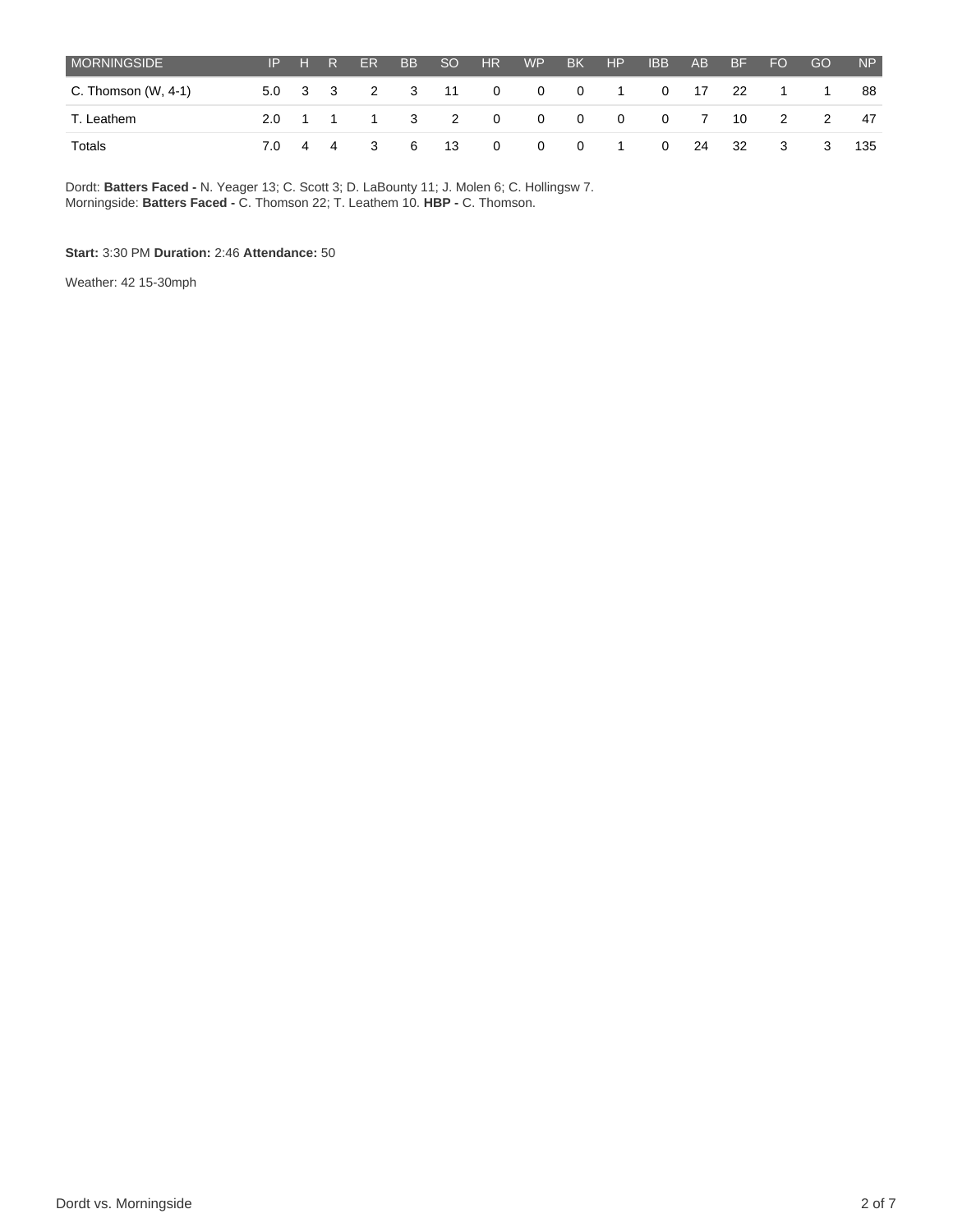| <b>MORNINGSIDE</b>    |  | IP H R | ER | BB SO | HR H | <b>WP</b> | BK | HP |                                | IBB AB BF | <b>FO</b> | GO             | NP  |
|-----------------------|--|--------|----|-------|------|-----------|----|----|--------------------------------|-----------|-----------|----------------|-----|
| C. Thomson $(W, 4-1)$ |  |        |    |       |      |           |    |    | 5.0 3 3 2 3 11 0 0 0 1 0 17 22 |           | $\sim$ 1  | $\overline{1}$ | 88  |
| T. Leathem            |  |        |    |       |      |           |    |    | 2.0 1 1 1 3 2 0 0 0 0 0 7 10 2 |           |           | $\overline{2}$ | 47  |
| Totals                |  |        |    |       |      |           |    |    | 7.0 4 4 3 6 13 0 0 0 1 0 24    |           |           | 32 3 3         | 135 |

Dordt: **Batters Faced -** N. Yeager 13; C. Scott 3; D. LaBounty 11; J. Molen 6; C. Hollingsw 7. Morningside: **Batters Faced -** C. Thomson 22; T. Leathem 10. **HBP -** C. Thomson.

#### **Start:** 3:30 PM **Duration:** 2:46 **Attendance:** 50

Weather: 42 15-30mph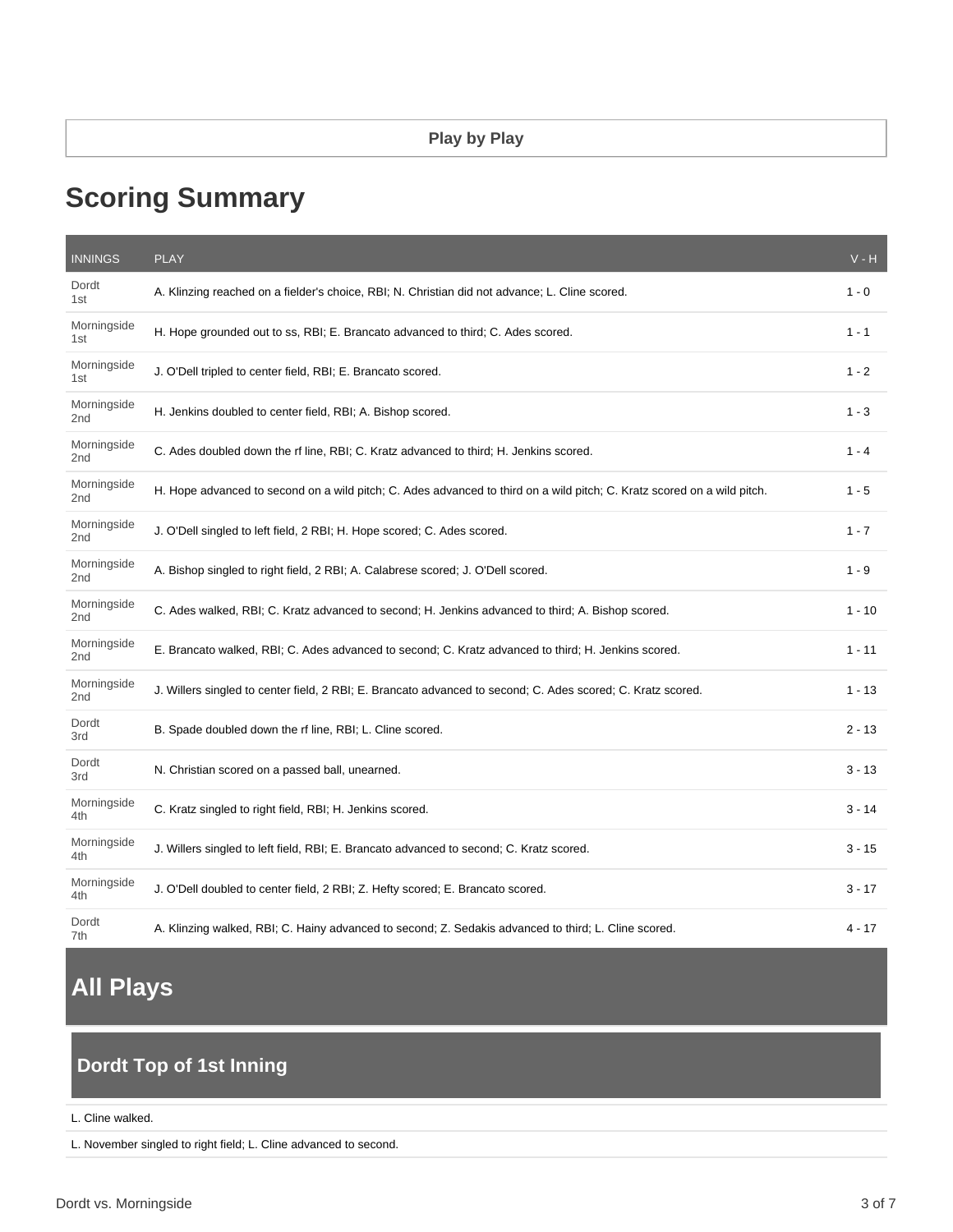# **Scoring Summary**

| <b>INNINGS</b>                 | <b>PLAY</b>                                                                                                             | $V - H$  |
|--------------------------------|-------------------------------------------------------------------------------------------------------------------------|----------|
| Dordt<br>1st                   | A. Klinzing reached on a fielder's choice, RBI; N. Christian did not advance; L. Cline scored.                          | $1 - 0$  |
| Morningside<br>1st             | H. Hope grounded out to ss, RBI; E. Brancato advanced to third; C. Ades scored.                                         | $1 - 1$  |
| Morningside<br>1st             | J. O'Dell tripled to center field, RBI; E. Brancato scored.                                                             | $1 - 2$  |
| Morningside<br>2 <sub>nd</sub> | H. Jenkins doubled to center field, RBI; A. Bishop scored.                                                              | $1 - 3$  |
| Morningside<br>2 <sub>nd</sub> | C. Ades doubled down the rf line, RBI; C. Kratz advanced to third; H. Jenkins scored.                                   | $1 - 4$  |
| Morningside<br>2nd             | H. Hope advanced to second on a wild pitch; C. Ades advanced to third on a wild pitch; C. Kratz scored on a wild pitch. | $1 - 5$  |
| Morningside<br>2 <sub>nd</sub> | J. O'Dell singled to left field, 2 RBI; H. Hope scored; C. Ades scored.                                                 | $1 - 7$  |
| Morningside<br>2nd             | A. Bishop singled to right field, 2 RBI; A. Calabrese scored; J. O'Dell scored.                                         | $1 - 9$  |
| Morningside<br>2 <sub>nd</sub> | C. Ades walked, RBI; C. Kratz advanced to second; H. Jenkins advanced to third; A. Bishop scored.                       | $1 - 10$ |
| Morningside<br>2 <sub>nd</sub> | E. Brancato walked, RBI; C. Ades advanced to second; C. Kratz advanced to third; H. Jenkins scored.                     | $1 - 11$ |
| Morningside<br>2 <sub>nd</sub> | J. Willers singled to center field, 2 RBI; E. Brancato advanced to second; C. Ades scored; C. Kratz scored.             | $1 - 13$ |
| Dordt<br>3rd                   | B. Spade doubled down the rf line, RBI; L. Cline scored.                                                                | $2 - 13$ |
| Dordt<br>3rd                   | N. Christian scored on a passed ball, unearned.                                                                         | $3 - 13$ |
| Morningside<br>4th             | C. Kratz singled to right field, RBI; H. Jenkins scored.                                                                | $3 - 14$ |
| Morningside<br>4th             | J. Willers singled to left field, RBI; E. Brancato advanced to second; C. Kratz scored.                                 | $3 - 15$ |
| Morningside<br>4th             | J. O'Dell doubled to center field, 2 RBI; Z. Hefty scored; E. Brancato scored.                                          | $3 - 17$ |
| Dordt<br>7th                   | A. Klinzing walked, RBI; C. Hainy advanced to second; Z. Sedakis advanced to third; L. Cline scored.                    | 4 - 17   |

# **All Plays**

# **Dordt Top of 1st Inning**

#### L. Cline walked.

L. November singled to right field; L. Cline advanced to second.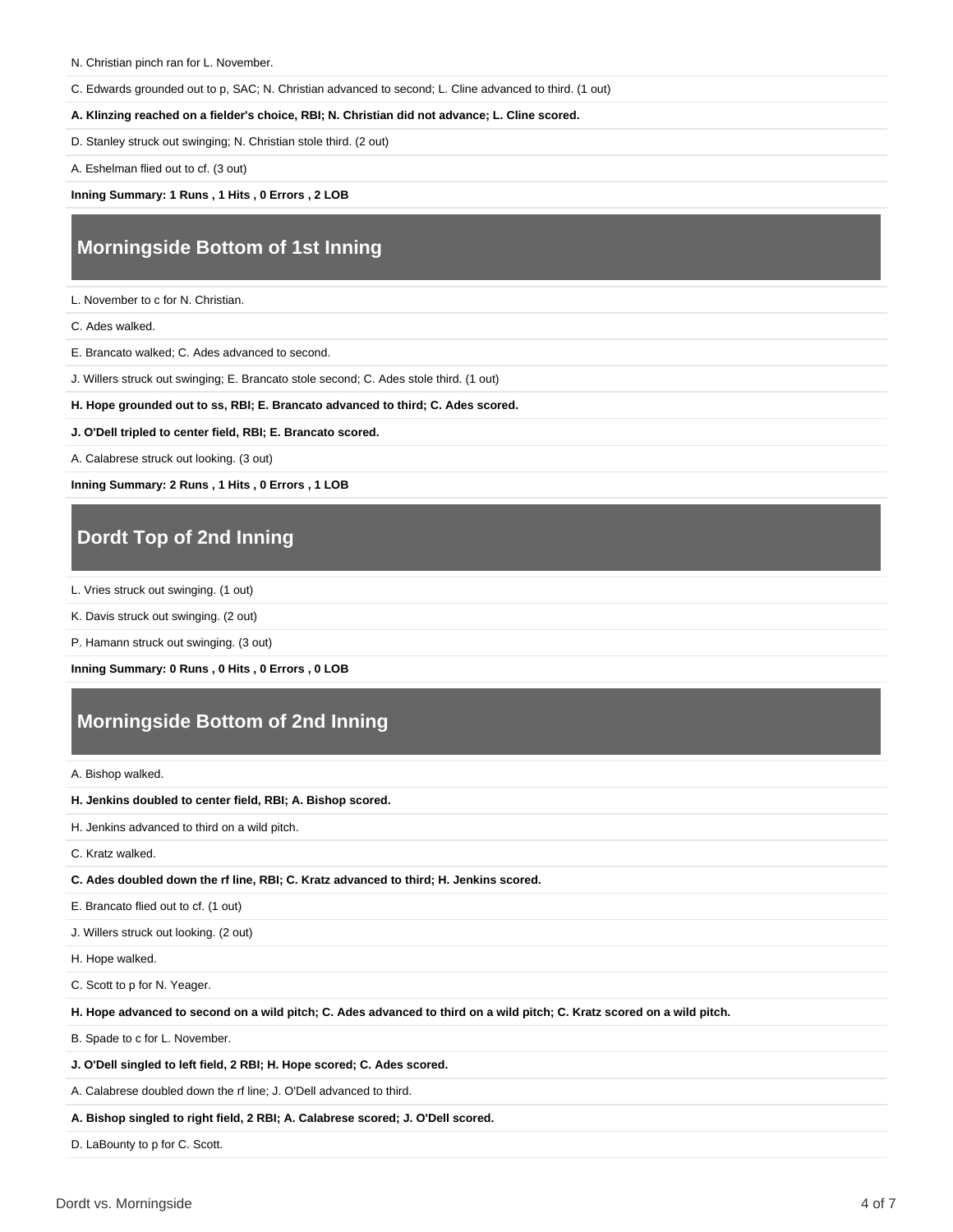C. Edwards grounded out to p, SAC; N. Christian advanced to second; L. Cline advanced to third. (1 out)

**A. Klinzing reached on a fielder's choice, RBI; N. Christian did not advance; L. Cline scored.**

D. Stanley struck out swinging; N. Christian stole third. (2 out)

A. Eshelman flied out to cf. (3 out)

**Inning Summary: 1 Runs , 1 Hits , 0 Errors , 2 LOB**

# **Morningside Bottom of 1st Inning**

L. November to c for N. Christian.

C. Ades walked.

E. Brancato walked; C. Ades advanced to second.

J. Willers struck out swinging; E. Brancato stole second; C. Ades stole third. (1 out)

**H. Hope grounded out to ss, RBI; E. Brancato advanced to third; C. Ades scored.**

**J. O'Dell tripled to center field, RBI; E. Brancato scored.**

A. Calabrese struck out looking. (3 out)

**Inning Summary: 2 Runs , 1 Hits , 0 Errors , 1 LOB**

## **Dordt Top of 2nd Inning**

L. Vries struck out swinging. (1 out)

K. Davis struck out swinging. (2 out)

P. Hamann struck out swinging. (3 out)

**Inning Summary: 0 Runs , 0 Hits , 0 Errors , 0 LOB**

## **Morningside Bottom of 2nd Inning**

A. Bishop walked.

**H. Jenkins doubled to center field, RBI; A. Bishop scored.**

H. Jenkins advanced to third on a wild pitch.

C. Kratz walked.

**C. Ades doubled down the rf line, RBI; C. Kratz advanced to third; H. Jenkins scored.**

E. Brancato flied out to cf. (1 out)

J. Willers struck out looking. (2 out)

H. Hope walked.

C. Scott to p for N. Yeager.

**H. Hope advanced to second on a wild pitch; C. Ades advanced to third on a wild pitch; C. Kratz scored on a wild pitch.**

B. Spade to c for L. November.

**J. O'Dell singled to left field, 2 RBI; H. Hope scored; C. Ades scored.**

A. Calabrese doubled down the rf line; J. O'Dell advanced to third.

**A. Bishop singled to right field, 2 RBI; A. Calabrese scored; J. O'Dell scored.**

D. LaBounty to p for C. Scott.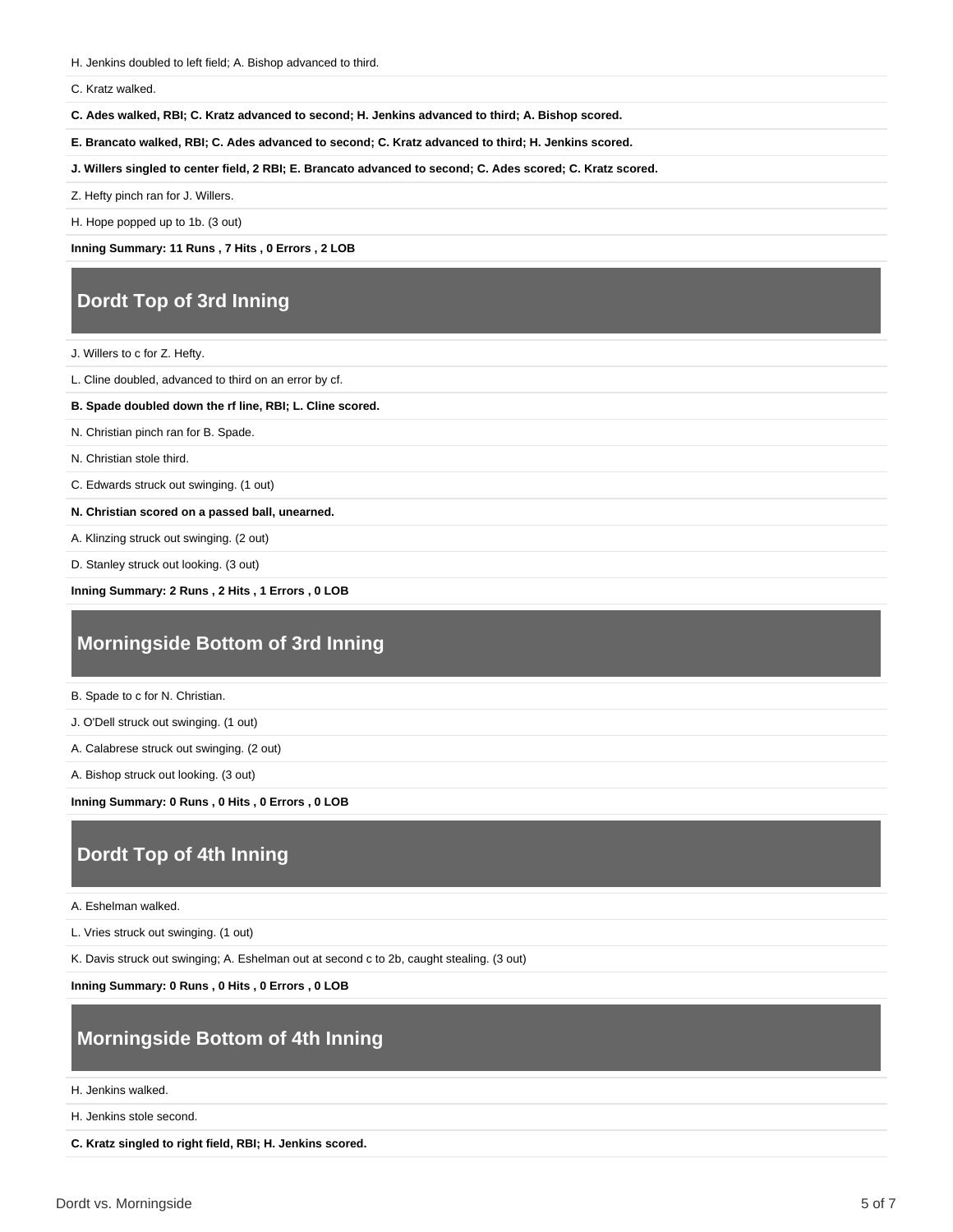H. Jenkins doubled to left field; A. Bishop advanced to third.

#### C. Kratz walked.

**C. Ades walked, RBI; C. Kratz advanced to second; H. Jenkins advanced to third; A. Bishop scored.**

**E. Brancato walked, RBI; C. Ades advanced to second; C. Kratz advanced to third; H. Jenkins scored.**

**J. Willers singled to center field, 2 RBI; E. Brancato advanced to second; C. Ades scored; C. Kratz scored.**

Z. Hefty pinch ran for J. Willers.

H. Hope popped up to 1b. (3 out)

**Inning Summary: 11 Runs , 7 Hits , 0 Errors , 2 LOB**

### **Dordt Top of 3rd Inning**

J. Willers to c for Z. Hefty.

L. Cline doubled, advanced to third on an error by cf.

**B. Spade doubled down the rf line, RBI; L. Cline scored.**

N. Christian pinch ran for B. Spade.

N. Christian stole third.

C. Edwards struck out swinging. (1 out)

**N. Christian scored on a passed ball, unearned.**

A. Klinzing struck out swinging. (2 out)

D. Stanley struck out looking. (3 out)

**Inning Summary: 2 Runs , 2 Hits , 1 Errors , 0 LOB**

## **Morningside Bottom of 3rd Inning**

B. Spade to c for N. Christian.

J. O'Dell struck out swinging. (1 out)

A. Calabrese struck out swinging. (2 out)

A. Bishop struck out looking. (3 out)

**Inning Summary: 0 Runs , 0 Hits , 0 Errors , 0 LOB**

### **Dordt Top of 4th Inning**

A. Eshelman walked.

L. Vries struck out swinging. (1 out)

K. Davis struck out swinging; A. Eshelman out at second c to 2b, caught stealing. (3 out)

**Inning Summary: 0 Runs , 0 Hits , 0 Errors , 0 LOB**

# **Morningside Bottom of 4th Inning**

H. Jenkins walked.

H. Jenkins stole second.

**C. Kratz singled to right field, RBI; H. Jenkins scored.**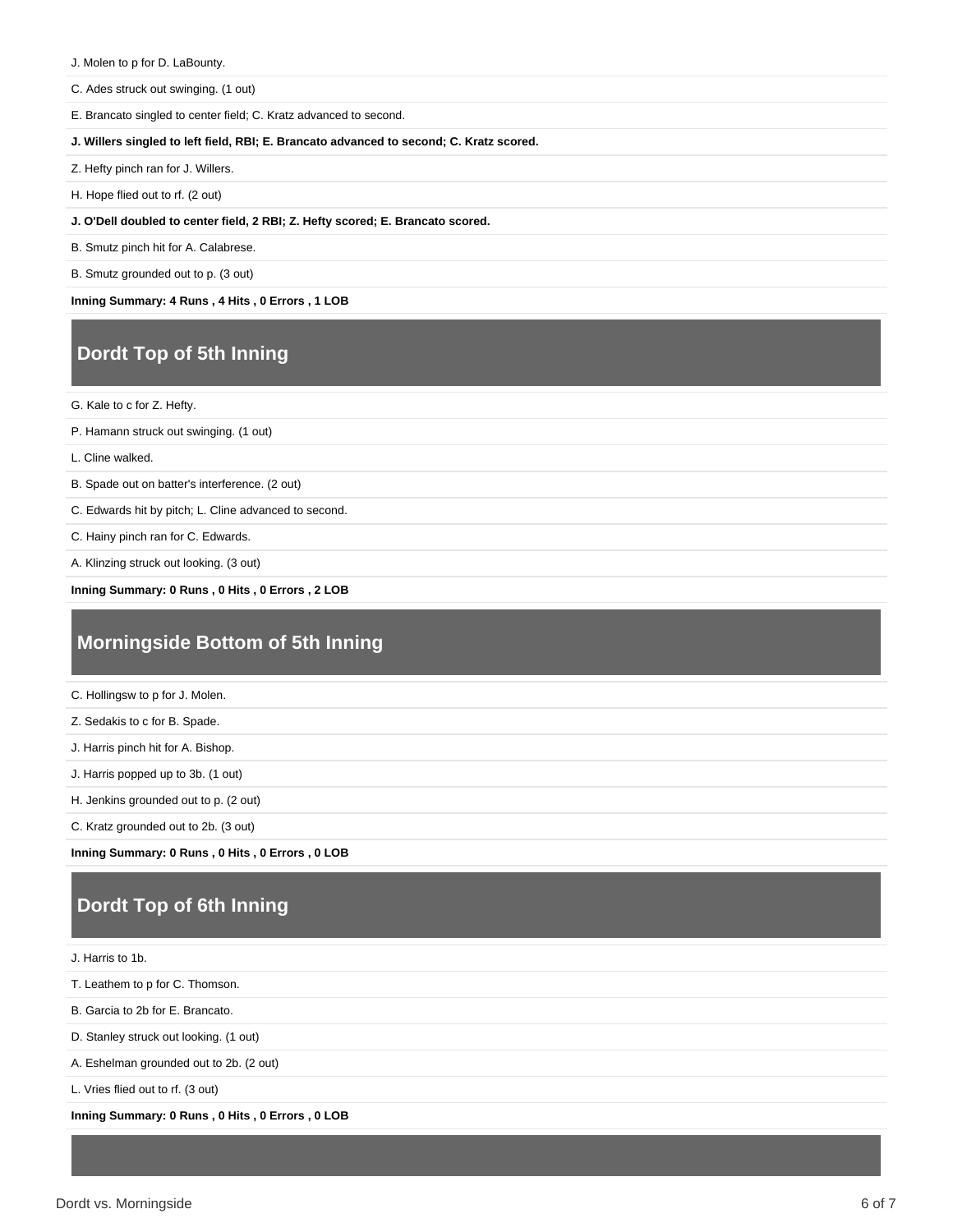J. Molen to p for D. LaBounty.

C. Ades struck out swinging. (1 out)

E. Brancato singled to center field; C. Kratz advanced to second.

**J. Willers singled to left field, RBI; E. Brancato advanced to second; C. Kratz scored.**

Z. Hefty pinch ran for J. Willers.

H. Hope flied out to rf. (2 out)

**J. O'Dell doubled to center field, 2 RBI; Z. Hefty scored; E. Brancato scored.**

B. Smutz pinch hit for A. Calabrese.

B. Smutz grounded out to p. (3 out)

**Inning Summary: 4 Runs , 4 Hits , 0 Errors , 1 LOB**

# **Dordt Top of 5th Inning**

G. Kale to c for Z. Hefty.

P. Hamann struck out swinging. (1 out)

L. Cline walked.

B. Spade out on batter's interference. (2 out)

C. Edwards hit by pitch; L. Cline advanced to second.

C. Hainy pinch ran for C. Edwards.

A. Klinzing struck out looking. (3 out)

**Inning Summary: 0 Runs , 0 Hits , 0 Errors , 2 LOB**

### **Morningside Bottom of 5th Inning**

C. Hollingsw to p for J. Molen.

Z. Sedakis to c for B. Spade.

J. Harris pinch hit for A. Bishop.

J. Harris popped up to 3b. (1 out)

H. Jenkins grounded out to p. (2 out)

C. Kratz grounded out to 2b. (3 out)

**Inning Summary: 0 Runs , 0 Hits , 0 Errors , 0 LOB**

## **Dordt Top of 6th Inning**

J. Harris to 1b.

T. Leathem to p for C. Thomson.

B. Garcia to 2b for E. Brancato.

D. Stanley struck out looking. (1 out)

A. Eshelman grounded out to 2b. (2 out)

L. Vries flied out to rf. (3 out)

**Inning Summary: 0 Runs , 0 Hits , 0 Errors , 0 LOB**